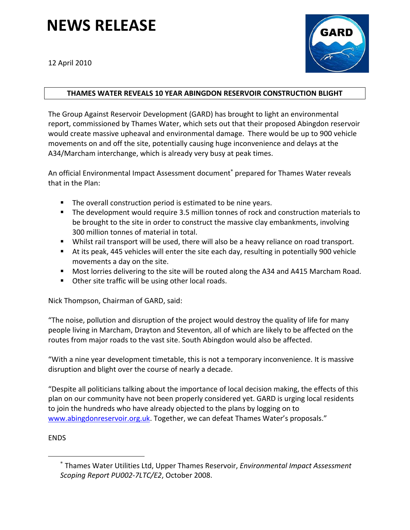## **NEWS RELEASE**

12 April 2010



## **THAMES WATER REVEALS 10 YEAR ABINGDON RESERVOIR CONSTRUCTION BLIGHT**

The Group Against Reservoir Development (GARD) has brought to light an environmental report, commissioned by Thames Water, which sets out that their proposed Abingdon reservoir would create massive upheaval and environmental damage. There would be up to 900 vehicle movements on and off the site, potentially causing huge inconvenience and delays at the A34/Marcham interchange, which is already very busy at peak times.

An official Environmental Impact Assessment document<sup>®</sup> prepared for Thames Water reveals that in the Plan:

- The overall construction period is estimated to be nine years.
- The development would require 3.5 million tonnes of rock and construction materials to be brought to the site in order to construct the massive clay embankments, involving 300 million tonnes of material in total.
- Whilst rail transport will be used, there will also be a heavy reliance on road transport.
- At its peak, 445 vehicles will enter the site each day, resulting in potentially 900 vehicle movements a day on the site.
- **Most lorries delivering to the site will be routed along the A34 and A415 Marcham Road.**
- **Other site traffic will be using other local roads.**

Nick Thompson, Chairman of GARD, said:

"The noise, pollution and disruption of the project would destroy the quality of life for many people living in Marcham, Drayton and Steventon, all of which are likely to be affected on the routes from major roads to the vast site. South Abingdon would also be affected.

"With a nine year development timetable, this is not a temporary inconvenience. It is massive disruption and blight over the course of nearly a decade.

"Despite all politicians talking about the importance of local decision making, the effects of this plan on our community have not been properly considered yet. GARD is urging local residents to join the hundreds who have already objected to the plans by logging on to www.abingdonreservoir.org.uk. Together, we can defeat Thames Water's proposals."

## ENDS

1

<sup>∗</sup> Thames Water Utilities Ltd, Upper Thames Reservoir, *Environmental Impact Assessment Scoping Report PU002‐7LTC/E2*, October 2008.